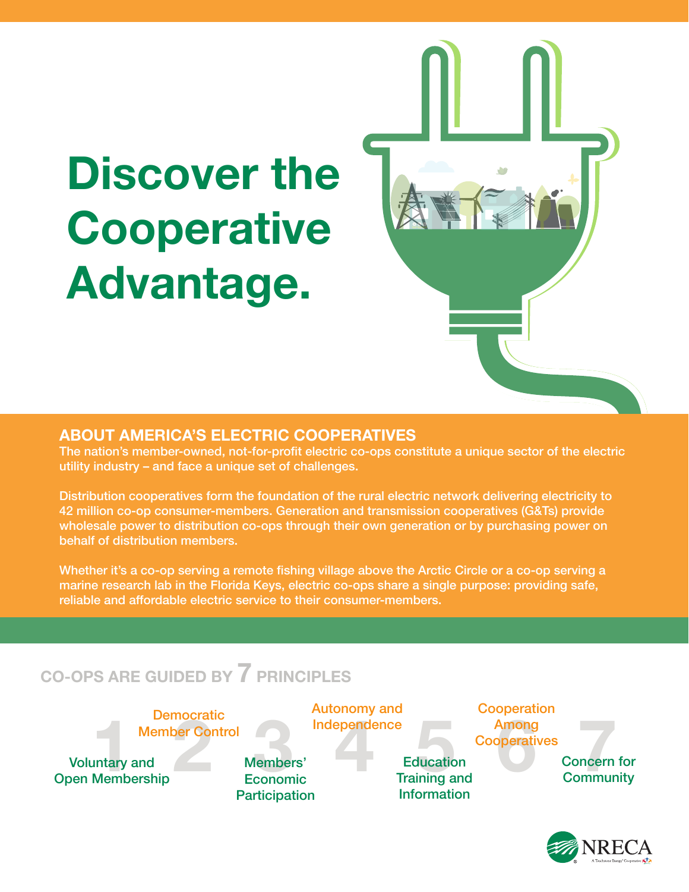# **Discover the Cooperative Advantage.**

#### **ABOUT AMERICA'S ELECTRIC COOPERATIVES**

The nation's member-owned, not-for-profit electric co-ops constitute a unique sector of the electric utility industry – and face a unique set of challenges.

Distribution cooperatives form the foundation of the rural electric network delivering electricity to 42 million co-op consumer-members. Generation and transmission cooperatives (G&Ts) provide wholesale power to distribution co-ops through their own generation or by purchasing power on behalf of distribution members.

Whether it's a co-op serving a remote fishing village above the Arctic Circle or a co-op serving a marine research lab in the Florida Keys, electric co-ops share a single purpose: providing safe, reliable and affordable electric service to their consumer-members.

### **CO-OPS ARE GUIDED BY 7 PRINCIPLES**